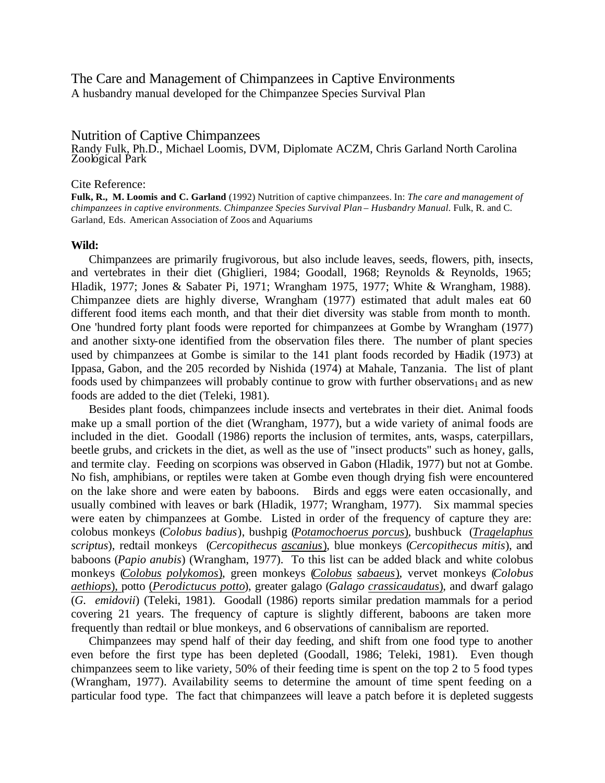### The Care and Management of Chimpanzees in Captive Environments A husbandry manual developed for the Chimpanzee Species Survival Plan

## Nutrition of Captive Chimpanzees

Randy Fulk, Ph.D., Michael Loomis, DVM, Diplomate ACZM, Chris Garland North Carolina Zoological Park

#### Cite Reference:

**Fulk, R., M. Loomis and C. Garland** (1992) Nutrition of captive chimpanzees. In: *The care and management of chimpanzees in captive environments. Chimpanzee Species Survival Plan – Husbandry Manual.* Fulk, R. and C. Garland, Eds. American Association of Zoos and Aquariums

#### **Wild:**

Chimpanzees are primarily frugivorous, but also include leaves, seeds, flowers, pith, insects, and vertebrates in their diet (Ghiglieri, 1984; Goodall, 1968; Reynolds & Reynolds, 1965; Hladik, 1977; Jones & Sabater Pi, 1971; Wrangham 1975, 1977; White & Wrangham, 1988). Chimpanzee diets are highly diverse, Wrangham (1977) estimated that adult males eat 60 different food items each month, and that their diet diversity was stable from month to month. One 'hundred forty plant foods were reported for chimpanzees at Gombe by Wrangham (1977) and another sixty-one identified from the observation files there. The number of plant species used by chimpanzees at Gombe is similar to the 141 plant foods recorded by Hiadik (1973) at Ippasa, Gabon, and the 205 recorded by Nishida (1974) at Mahale, Tanzania. The list of plant foods used by chimpanzees will probably continue to grow with further observations $<sub>1</sub>$  and as new</sub> foods are added to the diet (Teleki, 1981).

Besides plant foods, chimpanzees include insects and vertebrates in their diet. Animal foods make up a small portion of the diet (Wrangham, 1977), but a wide variety of animal foods are included in the diet. Goodall (1986) reports the inclusion of termites, ants, wasps, caterpillars, beetle grubs, and crickets in the diet, as well as the use of "insect products" such as honey, galls, and termite clay. Feeding on scorpions was observed in Gabon (Hladik, 1977) but not at Gombe. No fish, amphibians, or reptiles were taken at Gombe even though drying fish were encountered on the lake shore and were eaten by baboons. Birds and eggs were eaten occasionally, and usually combined with leaves or bark (Hladik, 1977; Wrangham, 1977). Six mammal species were eaten by chimpanzees at Gombe. Listed in order of the frequency of capture they are: colobus monkeys (*Colobus badius*), bushpig (*Potamochoerus porcus*), bushbuck (*Tragelaphus scriptus*), redtail monkeys (*Cercopithecus ascanius*), blue monkeys (*Cercopithecus mitis*), and baboons (*Papio anubis*) (Wrangham, 1977). To this list can be added black and white colobus monkeys (*Colobus polykomos*), green monkeys (*Colobus sabaeus*), vervet monkeys (*Colobus aethiops*), potto (*Perodictucus potto*), greater galago (*Galago crassicaudatus*), and dwarf galago (*G. emidovii*) (Teleki, 1981). Goodall (1986) reports similar predation mammals for a period covering 21 years. The frequency of capture is slightly different, baboons are taken more frequently than redtail or blue monkeys, and 6 observations of cannibalism are reported.

Chimpanzees may spend half of their day feeding, and shift from one food type to another even before the first type has been depleted (Goodall, 1986; Teleki, 1981). Even though chimpanzees seem to like variety, 50% of their feeding time is spent on the top 2 to 5 food types (Wrangham, 1977). Availability seems to determine the amount of time spent feeding on a particular food type. The fact that chimpanzees will leave a patch before it is depleted suggests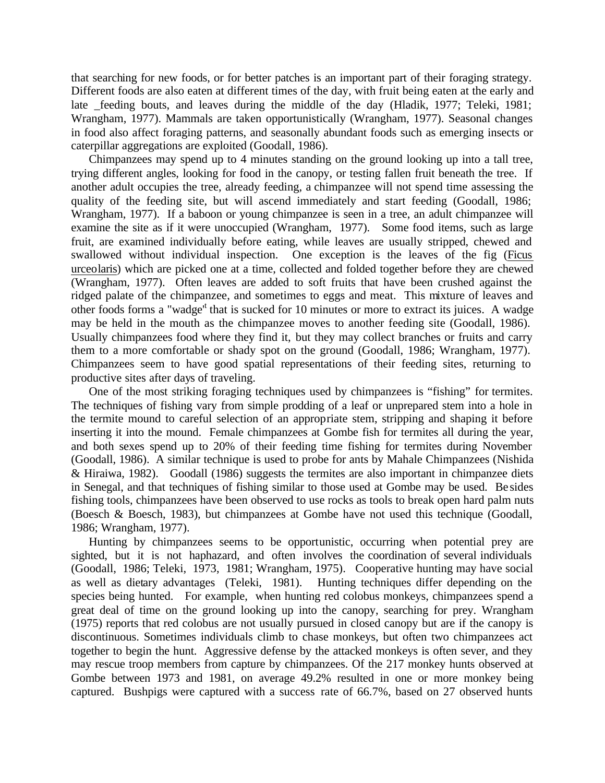that searching for new foods, or for better patches is an important part of their foraging strategy. Different foods are also eaten at different times of the day, with fruit being eaten at the early and late feeding bouts, and leaves during the middle of the day (Hladik, 1977; Teleki, 1981; Wrangham, 1977). Mammals are taken opportunistically (Wrangham, 1977). Seasonal changes in food also affect foraging patterns, and seasonally abundant foods such as emerging insects or caterpillar aggregations are exploited (Goodall, 1986).

Chimpanzees may spend up to 4 minutes standing on the ground looking up into a tall tree, trying different angles, looking for food in the canopy, or testing fallen fruit beneath the tree. If another adult occupies the tree, already feeding, a chimpanzee will not spend time assessing the quality of the feeding site, but will ascend immediately and start feeding (Goodall, 1986; Wrangham, 1977). If a baboon or young chimpanzee is seen in a tree, an adult chimpanzee will examine the site as if it were unoccupied (Wrangham, 1977). Some food items, such as large fruit, are examined individually before eating, while leaves are usually stripped, chewed and swallowed without individual inspection. One exception is the leaves of the fig (Ficus urceolaris) which are picked one at a time, collected and folded together before they are chewed (Wrangham, 1977). Often leaves are added to soft fruits that have been crushed against the ridged palate of the chimpanzee, and sometimes to eggs and meat. This mixture of leaves and other foods forms a "wadge" that is sucked for 10 minutes or more to extract its juices. A wadge may be held in the mouth as the chimpanzee moves to another feeding site (Goodall, 1986). Usually chimpanzees food where they find it, but they may collect branches or fruits and carry them to a more comfortable or shady spot on the ground (Goodall, 1986; Wrangham, 1977). Chimpanzees seem to have good spatial representations of their feeding sites, returning to productive sites after days of traveling.

One of the most striking foraging techniques used by chimpanzees is "fishing" for termites. The techniques of fishing vary from simple prodding of a leaf or unprepared stem into a hole in the termite mound to careful selection of an appropriate stem, stripping and shaping it before inserting it into the mound. Female chimpanzees at Gombe fish for termites all during the year, and both sexes spend up to 20% of their feeding time fishing for termites during November (Goodall, 1986). A similar technique is used to probe for ants by Mahale Chimpanzees (Nishida & Hiraiwa, 1982). Goodall (1986) suggests the termites are also important in chimpanzee diets in Senegal, and that techniques of fishing similar to those used at Gombe may be used. Be sides fishing tools, chimpanzees have been observed to use rocks as tools to break open hard palm nuts (Boesch & Boesch, 1983), but chimpanzees at Gombe have not used this technique (Goodall, 1986; Wrangham, 1977).

Hunting by chimpanzees seems to be opportunistic, occurring when potential prey are sighted, but it is not haphazard, and often involves the coordination of several individuals (Goodall, 1986; Teleki, 1973, 1981; Wrangham, 1975). Cooperative hunting may have social as well as dietary advantages (Teleki, 1981). Hunting techniques differ depending on the species being hunted. For example, when hunting red colobus monkeys, chimpanzees spend a great deal of time on the ground looking up into the canopy, searching for prey. Wrangham (1975) reports that red colobus are not usually pursued in closed canopy but are if the canopy is discontinuous. Sometimes individuals climb to chase monkeys, but often two chimpanzees act together to begin the hunt. Aggressive defense by the attacked monkeys is often sever, and they may rescue troop members from capture by chimpanzees. Of the 217 monkey hunts observed at Gombe between 1973 and 1981, on average 49.2% resulted in one or more monkey being captured. Bushpigs were captured with a success rate of 66.7%, based on 27 observed hunts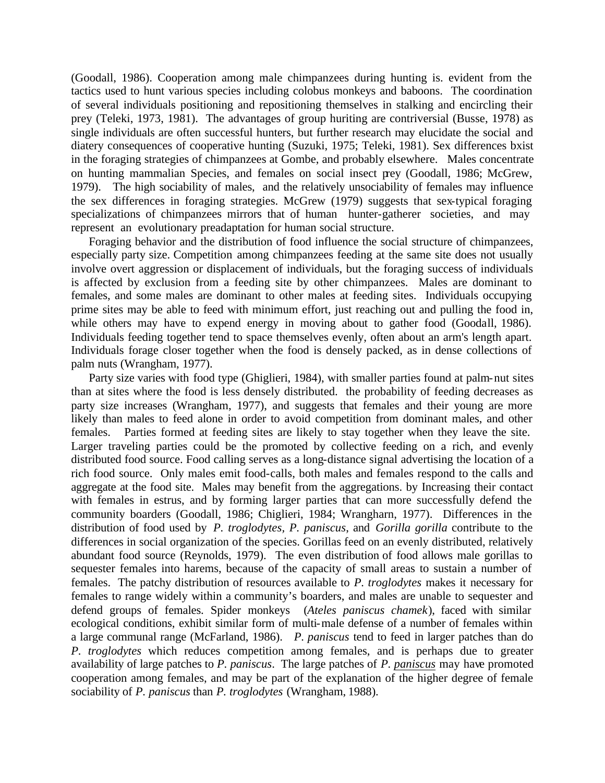(Goodall, 1986). Cooperation among male chimpanzees during hunting is. evident from the tactics used to hunt various species including colobus monkeys and baboons. The coordination of several individuals positioning and repositioning themselves in stalking and encircling their prey (Teleki, 1973, 1981). The advantages of group huriting are contriversial (Busse, 1978) as single individuals are often successful hunters, but further research may elucidate the social and diatery consequences of cooperative hunting (Suzuki, 1975; Teleki, 1981). Sex differences bxist in the foraging strategies of chimpanzees at Gombe, and probably elsewhere. Males concentrate on hunting mammalian Species, and females on social insect prey (Goodall, 1986; McGrew, 1979). The high sociability of males, and the relatively unsociability of females may influence the sex differences in foraging strategies. McGrew (1979) suggests that sex-typical foraging specializations of chimpanzees mirrors that of human hunter-gatherer societies, and may represent an evolutionary preadaptation for human social structure.

Foraging behavior and the distribution of food influence the social structure of chimpanzees, especially party size. Competition among chimpanzees feeding at the same site does not usually involve overt aggression or displacement of individuals, but the foraging success of individuals is affected by exclusion from a feeding site by other chimpanzees. Males are dominant to females, and some males are dominant to other males at feeding sites. Individuals occupying prime sites may be able to feed with minimum effort, just reaching out and pulling the food in, while others may have to expend energy in moving about to gather food (Goodall, 1986). Individuals feeding together tend to space themselves evenly, often about an arm's length apart. Individuals forage closer together when the food is densely packed, as in dense collections of palm nuts (Wrangham, 1977).

Party size varies with food type (Ghiglieri, 1984), with smaller parties found at palm-nut sites than at sites where the food is less densely distributed. the probability of feeding decreases as party size increases (Wrangham, 1977), and suggests that females and their young are more likely than males to feed alone in order to avoid competition from dominant males, and other females. Parties formed at feeding sites are likely to stay together when they leave the site. Larger traveling parties could be the promoted by collective feeding on a rich, and evenly distributed food source. Food calling serves as a long-distance signal advertising the location of a rich food source. Only males emit food-calls, both males and females respond to the calls and aggregate at the food site. Males may benefit from the aggregations. by Increasing their contact with females in estrus, and by forming larger parties that can more successfully defend the community boarders (Goodall, 1986; Chiglieri, 1984; Wrangharn, 1977). Differences in the distribution of food used by *P. troglodytes, P. paniscus*, and *Gorilla gorilla* contribute to the differences in social organization of the species. Gorillas feed on an evenly distributed, relatively abundant food source (Reynolds, 1979). The even distribution of food allows male gorillas to sequester females into harems, because of the capacity of small areas to sustain a number of females. The patchy distribution of resources available to *P. troglodytes* makes it necessary for females to range widely within a community's boarders, and males are unable to sequester and defend groups of females. Spider monkeys (*Ateles paniscus chamek*), faced with similar ecological conditions, exhibit similar form of multi-male defense of a number of females within a large communal range (McFarland, 1986). *P. paniscus* tend to feed in larger patches than do *P. troglodytes* which reduces competition among females, and is perhaps due to greater availability of large patches to *P. paniscus*. The large patches of *P. paniscus* may have promoted cooperation among females, and may be part of the explanation of the higher degree of female sociability of *P. paniscus* than *P. troglodytes* (Wrangham, 1988).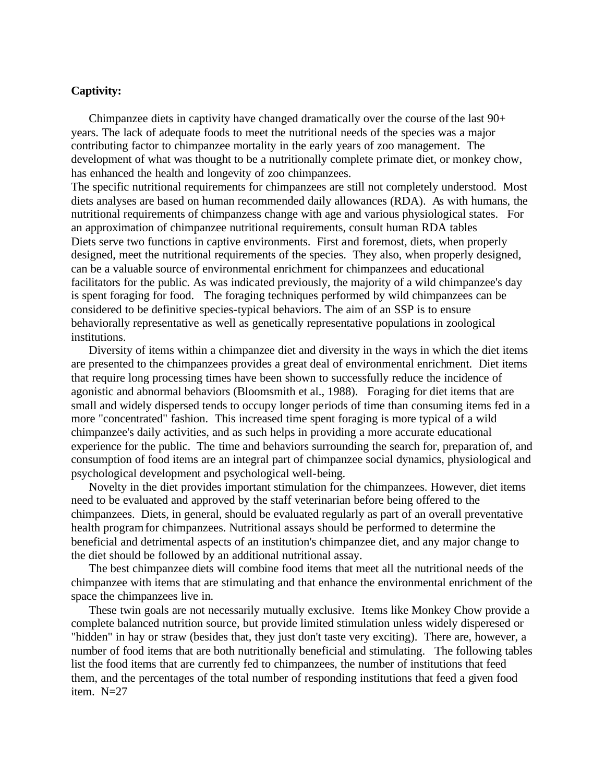### **Captivity:**

Chimpanzee diets in captivity have changed dramatically over the course of the last 90+ years. The lack of adequate foods to meet the nutritional needs of the species was a major contributing factor to chimpanzee mortality in the early years of zoo management. The development of what was thought to be a nutritionally complete primate diet, or monkey chow, has enhanced the health and longevity of zoo chimpanzees.

The specific nutritional requirements for chimpanzees are still not completely understood. Most diets analyses are based on human recommended daily allowances (RDA). As with humans, the nutritional requirements of chimpanzess change with age and various physiological states. For an approximation of chimpanzee nutritional requirements, consult human RDA tables Diets serve two functions in captive environments. First and foremost, diets, when properly designed, meet the nutritional requirements of the species. They also, when properly designed, can be a valuable source of environmental enrichment for chimpanzees and educational facilitators for the public. As was indicated previously, the majority of a wild chimpanzee's day is spent foraging for food. The foraging techniques performed by wild chimpanzees can be considered to be definitive species-typical behaviors. The aim of an SSP is to ensure behaviorally representative as well as genetically representative populations in zoological institutions.

Diversity of items within a chimpanzee diet and diversity in the ways in which the diet items are presented to the chimpanzees provides a great deal of environmental enrichment. Diet items that require long processing times have been shown to successfully reduce the incidence of agonistic and abnormal behaviors (Bloomsmith et al., 1988). Foraging for diet items that are small and widely dispersed tends to occupy longer periods of time than consuming items fed in a more "concentrated" fashion. This increased time spent foraging is more typical of a wild chimpanzee's daily activities, and as such helps in providing a more accurate educational experience for the public. The time and behaviors surrounding the search for, preparation of, and consumption of food items are an integral part of chimpanzee social dynamics, physiological and psychological development and psychological well-being.

Novelty in the diet provides important stimulation for the chimpanzees. However, diet items need to be evaluated and approved by the staff veterinarian before being offered to the chimpanzees. Diets, in general, should be evaluated regularly as part of an overall preventative health program for chimpanzees. Nutritional assays should be performed to determine the beneficial and detrimental aspects of an institution's chimpanzee diet, and any major change to the diet should be followed by an additional nutritional assay.

The best chimpanzee diets will combine food items that meet all the nutritional needs of the chimpanzee with items that are stimulating and that enhance the environmental enrichment of the space the chimpanzees live in.

These twin goals are not necessarily mutually exclusive. Items like Monkey Chow provide a complete balanced nutrition source, but provide limited stimulation unless widely disperesed or "hidden" in hay or straw (besides that, they just don't taste very exciting). There are, however, a number of food items that are both nutritionally beneficial and stimulating. The following tables list the food items that are currently fed to chimpanzees, the number of institutions that feed them, and the percentages of the total number of responding institutions that feed a given food item. N=27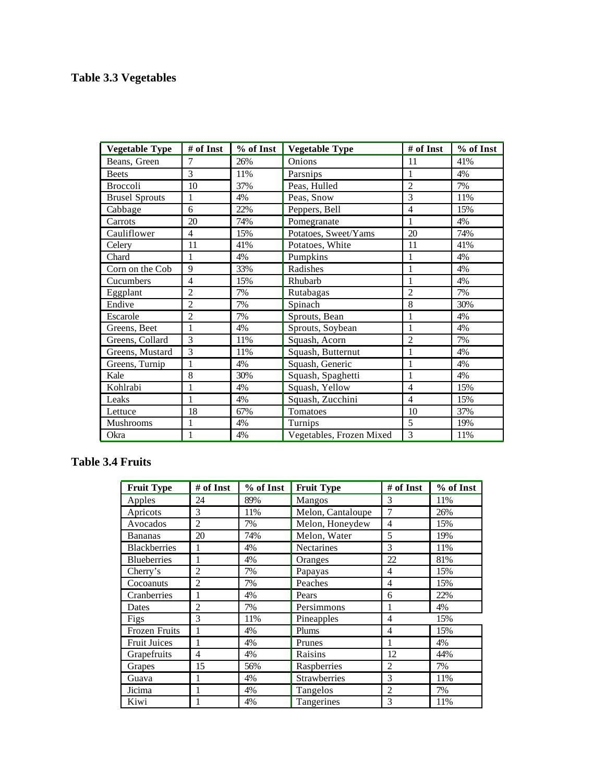# **Table 3.3 Vegetables**

| <b>Vegetable Type</b> | # of Inst      | % of Inst | <b>Vegetable Type</b>    | # of Inst      | % of Inst |
|-----------------------|----------------|-----------|--------------------------|----------------|-----------|
| Beans, Green          | 7              | 26%       | Onions                   | 11             | 41%       |
| <b>Beets</b>          | $\mathcal{E}$  | 11%       | Parsnips                 | 1              | 4%        |
| <b>Broccoli</b>       | 10             | 37%       | Peas, Hulled             | $\overline{2}$ | 7%        |
| <b>Brusel Sprouts</b> | 1              | 4%        | Peas, Snow               | 3              | 11%       |
| Cabbage               | 6              | 22%       | Peppers, Bell            | 4              | 15%       |
| Carrots               | 20             | 74%       | Pomegranate              | $\mathbf{1}$   | 4%        |
| Cauliflower           | $\overline{4}$ | 15%       | Potatoes, Sweet/Yams     | 20             | 74%       |
| Celery                | 11             | 41%       | Potatoes, White          | 11             | 41%       |
| Chard                 | 1              | 4%        | Pumpkins                 | $\mathbf{1}$   | 4%        |
| Corn on the Cob       | 9              | 33%       | Radishes                 | $\mathbf{1}$   | 4%        |
| Cucumbers             | 4              | 15%       | Rhubarb                  | 1              | 4%        |
| Eggplant              | $\overline{c}$ | 7%        | Rutabagas                | $\overline{c}$ | 7%        |
| Endive                | $\overline{c}$ | 7%        | Spinach                  | 8              | 30%       |
| Escarole              | $\overline{c}$ | 7%        | Sprouts, Bean            |                | 4%        |
| Greens, Beet          | 1              | 4%        | Sprouts, Soybean         | 1              | 4%        |
| Greens, Collard       | 3              | 11%       | Squash, Acorn            | $\overline{c}$ | 7%        |
| Greens, Mustard       | 3              | 11%       | Squash, Butternut        |                | 4%        |
| Greens, Turnip        | 1              | 4%        | Squash, Generic          |                | 4%        |
| Kale                  | 8              | 30%       | Squash, Spaghetti        | 1              | 4%        |
| Kohlrabi              | 1              | 4%        | Squash, Yellow           | 4              | 15%       |
| Leaks                 | 1              | 4%        | Squash, Zucchini         | $\overline{4}$ | 15%       |
| Lettuce               | 18             | 67%       | Tomatoes                 | 10             | 37%       |
| <b>Mushrooms</b>      | 1              | 4%        | Turnips                  | 5              | 19%       |
| Okra                  | $\mathbf{1}$   | 4%        | Vegetables, Frozen Mixed | 3              | 11%       |

## **Table 3.4 Fruits**

| <b>Fruit Type</b>    | # of Inst      | % of Inst | <b>Fruit Type</b>   | # of Inst      | % of Inst |
|----------------------|----------------|-----------|---------------------|----------------|-----------|
| Apples               | 24             | 89%       | Mangos              | 3              | 11%       |
| Apricots             | 3              | 11%       | Melon, Cantaloupe   | 7              | 26%       |
| Avocados             | $\overline{c}$ | 7%        | Melon, Honeydew     | $\overline{4}$ | 15%       |
| <b>Bananas</b>       | 20             | 74%       | Melon, Water        | 5              | 19%       |
| <b>Blackberries</b>  | 1              | 4%        | Nectarines          | 3              | 11%       |
| <b>Blueberries</b>   | 1              | 4%        | Oranges             | 22             | 81%       |
| Cherry's             | $\overline{2}$ | 7%        | Papayas             | 4              | 15%       |
| Cocoanuts            | $\overline{2}$ | 7%        | Peaches             | $\overline{4}$ | 15%       |
| Cranberries          | 1              | 4%        | Pears               | 6              | 22%       |
| Dates                | $\overline{c}$ | 7%        | Persimmons          | 1              | 4%        |
| Figs                 | 3              | 11%       | Pineapples          | 4              | 15%       |
| <b>Frozen Fruits</b> | 1              | 4%        | Plums               | 4              | 15%       |
| <b>Fruit Juices</b>  | 1              | 4%        | Prunes              | 1              | 4%        |
| Grapefruits          | 4              | 4%        | Raisins             | 12             | 44%       |
| Grapes               | 15             | 56%       | Raspberries         | $\overline{c}$ | 7%        |
| Guava                | 1              | 4%        | <b>Strawberries</b> | 3              | 11%       |
| Jicima               | 1              | 4%        | Tangelos            | $\overline{2}$ | 7%        |
| Kiwi                 | 1              | 4%        | Tangerines          | 3              | 11%       |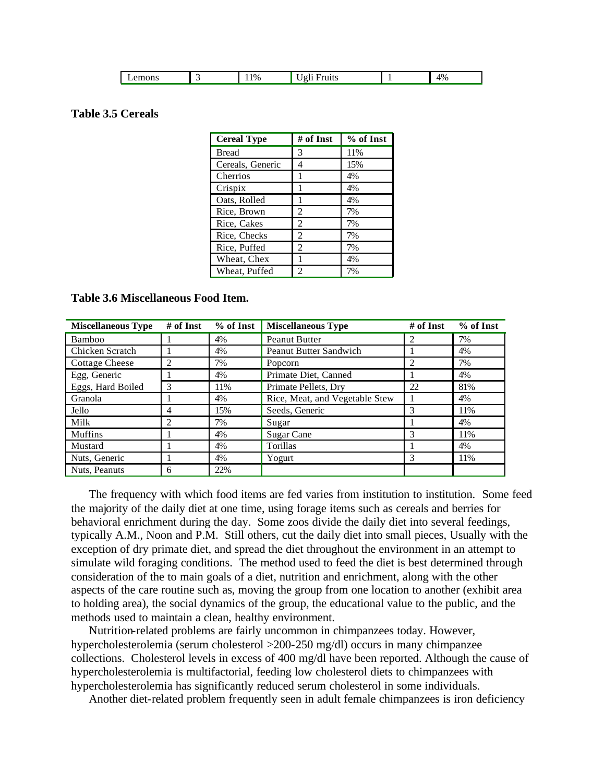|  | emons |  | $1\%$<br>. . | . |  | 4%<br>$\cdots$ |
|--|-------|--|--------------|---|--|----------------|
|--|-------|--|--------------|---|--|----------------|

### **Table 3.5 Cereals**

| <b>Cereal Type</b> | # of Inst      | % of Inst |
|--------------------|----------------|-----------|
| <b>Bread</b>       | 3              | 11%       |
| Cereals, Generic   | 4              | 15%       |
| Cherrios           | 1              | 4%        |
| Crispix            | 1              | 4%        |
| Oats, Rolled       | 1              | 4%        |
| Rice, Brown        | 2              | 7%        |
| Rice, Cakes        | 2              | 7%        |
| Rice, Checks       | 2              | 7%        |
| Rice, Puffed       | $\mathfrak{D}$ | 7%        |
| Wheat, Chex        | 1              | 4%        |
| Wheat, Puffed      | 2              | 7%        |

#### **Table 3.6 Miscellaneous Food Item.**

| <b>Miscellaneous Type</b> | # of Inst      | % of Inst | <b>Miscellaneous Type</b>      | # of Inst      | % of Inst |
|---------------------------|----------------|-----------|--------------------------------|----------------|-----------|
| <b>Bamboo</b>             |                | 4%        | <b>Peanut Butter</b>           | $\mathfrak{D}$ | 7%        |
| Chicken Scratch           |                | 4%        | <b>Peanut Butter Sandwich</b>  |                | 4%        |
| <b>Cottage Cheese</b>     | $\overline{c}$ | 7%        | Popcorn                        | 2              | 7%        |
| Egg, Generic              |                | 4%        | Primate Diet, Canned           |                | 4%        |
| Eggs, Hard Boiled         | 3              | 11%       | Primate Pellets, Dry           | 22             | 81%       |
| Granola                   |                | 4%        | Rice, Meat, and Vegetable Stew |                | 4%        |
| Jello                     | 4              | 15%       | Seeds, Generic                 | 3              | 11%       |
| Milk                      | $\overline{c}$ | 7%        | Sugar                          |                | 4%        |
| <b>Muffins</b>            |                | 4%        | Sugar Cane                     | 3              | 11%       |
| Mustard                   |                | 4%        | Torillas                       |                | 4%        |
| Nuts, Generic             |                | 4%        | Yogurt                         | 3              | 11%       |
| Nuts, Peanuts             | 6              | 22%       |                                |                |           |

The frequency with which food items are fed varies from institution to institution. Some feed the majority of the daily diet at one time, using forage items such as cereals and berries for behavioral enrichment during the day. Some zoos divide the daily diet into several feedings, typically A.M., Noon and P.M. Still others, cut the daily diet into small pieces, Usually with the exception of dry primate diet, and spread the diet throughout the environment in an attempt to simulate wild foraging conditions. The method used to feed the diet is best determined through consideration of the to main goals of a diet, nutrition and enrichment, along with the other aspects of the care routine such as, moving the group from one location to another (exhibit area to holding area), the social dynamics of the group, the educational value to the public, and the methods used to maintain a clean, healthy environment.

Nutrition-related problems are fairly uncommon in chimpanzees today. However, hypercholesterolemia (serum cholesterol >200-250 mg/dl) occurs in many chimpanzee collections. Cholesterol levels in excess of 400 mg/dl have been reported. Although the cause of hypercholesterolemia is multifactorial, feeding low cholesterol diets to chimpanzees with hypercholesterolemia has significantly reduced serum cholesterol in some individuals.

Another diet-related problem frequently seen in adult female chimpanzees is iron deficiency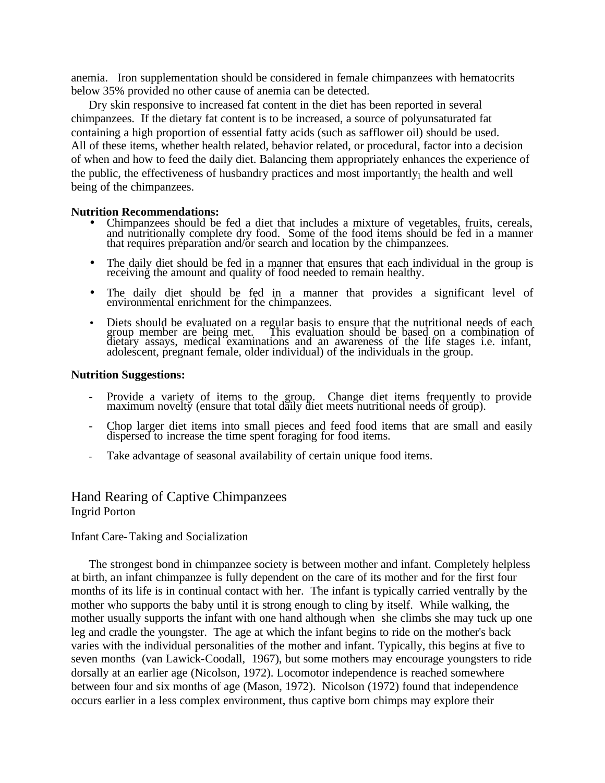anemia. Iron supplementation should be considered in female chimpanzees with hematocrits below 35% provided no other cause of anemia can be detected.

Dry skin responsive to increased fat content in the diet has been reported in several chimpanzees. If the dietary fat content is to be increased, a source of polyunsaturated fat containing a high proportion of essential fatty acids (such as safflower oil) should be used. All of these items, whether health related, behavior related, or procedural, factor into a decision of when and how to feed the daily diet. Balancing them appropriately enhances the experience of the public, the effectiveness of husbandry practices and most importantly<sub>1</sub> the health and well being of the chimpanzees.

#### **Nutrition Recommendations:**

- Chimpanzees should be fed a diet that includes a mixture of vegetables, fruits, cereals, and nutritionally complete dry food. Some of the food items should be fed in a manner that requires preparation and/or search and location by the chimpanzees.
- The daily diet should be fed in a manner that ensures that each individual in the group is receiving the amount and quality of food needed to remain healthy.
- The daily diet should be fed in a manner that provides a significant level of environmental enrichment for the chimpanzees.
- Diets should be evaluated on a regular basis to ensure that the nutritional needs of each group member are being met. This evaluation should be based on a combination of dietary assays, medical examinations and an awareness of the life stages i.e. infant, adolescent, pregnant female, older individual) of the individuals in the group.

#### **Nutrition Suggestions:**

- Provide a variety of items to the group. Change diet items frequently to provide maximum novelty (ensure that total daily diet meets nutritional needs of group).
- Chop larger diet items into small pieces and feed food items that are small and easily dispersed to increase the time spent foraging for food items.
- Take advantage of seasonal availability of certain unique food items.

## Hand Rearing of Captive Chimpanzees Ingrid Porton

### Infant Care-Taking and Socialization

The strongest bond in chimpanzee society is between mother and infant. Completely helpless at birth, an infant chimpanzee is fully dependent on the care of its mother and for the first four months of its life is in continual contact with her. The infant is typically carried ventrally by the mother who supports the baby until it is strong enough to cling by itself. While walking, the mother usually supports the infant with one hand although when she climbs she may tuck up one leg and cradle the youngster. The age at which the infant begins to ride on the mother's back varies with the individual personalities of the mother and infant. Typically, this begins at five to seven months (van Lawick-Coodall, 1967), but some mothers may encourage youngsters to ride dorsally at an earlier age (Nicolson, 1972). Locomotor independence is reached somewhere between four and six months of age (Mason, 1972). Nicolson (1972) found that independence occurs earlier in a less complex environment, thus captive born chimps may explore their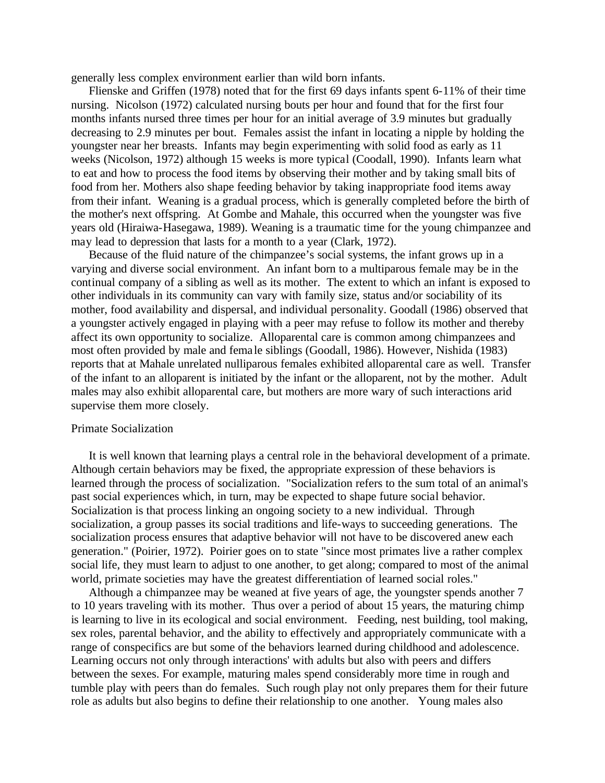generally less complex environment earlier than wild born infants.

Flienske and Griffen (1978) noted that for the first 69 days infants spent 6-11% of their time nursing. Nicolson (1972) calculated nursing bouts per hour and found that for the first four months infants nursed three times per hour for an initial average of 3.9 minutes but gradually decreasing to 2.9 minutes per bout. Females assist the infant in locating a nipple by holding the youngster near her breasts. Infants may begin experimenting with solid food as early as 11 weeks (Nicolson, 1972) although 15 weeks is more typical (Coodall, 1990). Infants learn what to eat and how to process the food items by observing their mother and by taking small bits of food from her. Mothers also shape feeding behavior by taking inappropriate food items away from their infant. Weaning is a gradual process, which is generally completed before the birth of the mother's next offspring. At Gombe and Mahale, this occurred when the youngster was five years old (Hiraiwa-Hasegawa, 1989). Weaning is a traumatic time for the young chimpanzee and may lead to depression that lasts for a month to a year (Clark, 1972).

Because of the fluid nature of the chimpanzee's social systems, the infant grows up in a varying and diverse social environment. An infant born to a multiparous female may be in the continual company of a sibling as well as its mother. The extent to which an infant is exposed to other individuals in its community can vary with family size, status and/or sociability of its mother, food availability and dispersal, and individual personality. Goodall (1986) observed that a youngster actively engaged in playing with a peer may refuse to follow its mother and thereby affect its own opportunity to socialize. Alloparental care is common among chimpanzees and most often provided by male and fema le siblings (Goodall, 1986). However, Nishida (1983) reports that at Mahale unrelated nulliparous females exhibited alloparental care as well. Transfer of the infant to an alloparent is initiated by the infant or the alloparent, not by the mother. Adult males may also exhibit alloparental care, but mothers are more wary of such interactions arid supervise them more closely.

#### Primate Socialization

It is well known that learning plays a central role in the behavioral development of a primate. Although certain behaviors may be fixed, the appropriate expression of these behaviors is learned through the process of socialization. "Socialization refers to the sum total of an animal's past social experiences which, in turn, may be expected to shape future social behavior. Socialization is that process linking an ongoing society to a new individual. Through socialization, a group passes its social traditions and life-ways to succeeding generations. The socialization process ensures that adaptive behavior will not have to be discovered anew each generation." (Poirier, 1972). Poirier goes on to state "since most primates live a rather complex social life, they must learn to adjust to one another, to get along; compared to most of the animal world, primate societies may have the greatest differentiation of learned social roles."

Although a chimpanzee may be weaned at five years of age, the youngster spends another 7 to 10 years traveling with its mother. Thus over a period of about 15 years, the maturing chimp is learning to live in its ecological and social environment. Feeding, nest building, tool making, sex roles, parental behavior, and the ability to effectively and appropriately communicate with a range of conspecifics are but some of the behaviors learned during childhood and adolescence. Learning occurs not only through interactions' with adults but also with peers and differs between the sexes. For example, maturing males spend considerably more time in rough and tumble play with peers than do females. Such rough play not only prepares them for their future role as adults but also begins to define their relationship to one another. Young males also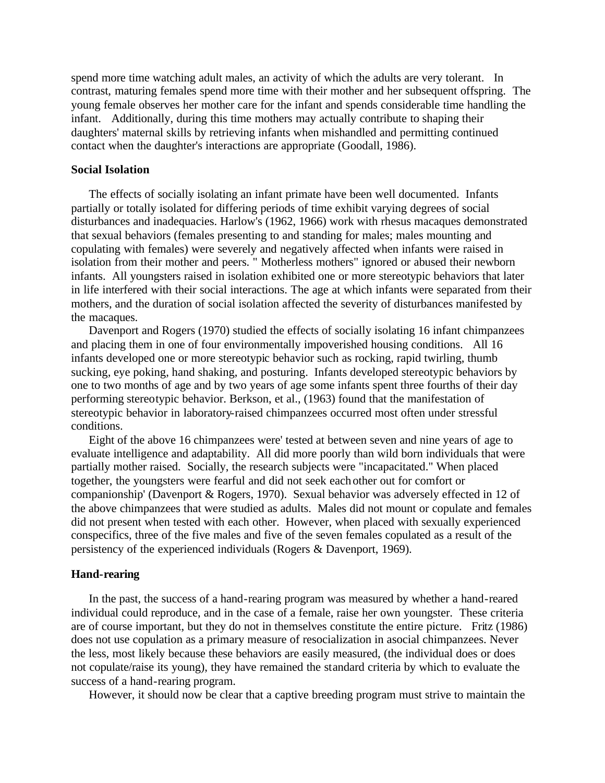spend more time watching adult males, an activity of which the adults are very tolerant. In contrast, maturing females spend more time with their mother and her subsequent offspring. The young female observes her mother care for the infant and spends considerable time handling the infant. Additionally, during this time mothers may actually contribute to shaping their daughters' maternal skills by retrieving infants when mishandled and permitting continued contact when the daughter's interactions are appropriate (Goodall, 1986).

#### **Social Isolation**

The effects of socially isolating an infant primate have been well documented. Infants partially or totally isolated for differing periods of time exhibit varying degrees of social disturbances and inadequacies. Harlow's (1962, 1966) work with rhesus macaques demonstrated that sexual behaviors (females presenting to and standing for males; males mounting and copulating with females) were severely and negatively affected when infants were raised in isolation from their mother and peers. " Motherless mothers" ignored or abused their newborn infants. All youngsters raised in isolation exhibited one or more stereotypic behaviors that later in life interfered with their social interactions. The age at which infants were separated from their mothers, and the duration of social isolation affected the severity of disturbances manifested by the macaques.

Davenport and Rogers (1970) studied the effects of socially isolating 16 infant chimpanzees and placing them in one of four environmentally impoverished housing conditions. All 16 infants developed one or more stereotypic behavior such as rocking, rapid twirling, thumb sucking, eye poking, hand shaking, and posturing. Infants developed stereotypic behaviors by one to two months of age and by two years of age some infants spent three fourths of their day performing stereotypic behavior. Berkson, et al., (1963) found that the manifestation of stereotypic behavior in laboratory-raised chimpanzees occurred most often under stressful conditions.

Eight of the above 16 chimpanzees were' tested at between seven and nine years of age to evaluate intelligence and adaptability. All did more poorly than wild born individuals that were partially mother raised. Socially, the research subjects were "incapacitated." When placed together, the youngsters were fearful and did not seek each other out for comfort or companionship' (Davenport & Rogers, 1970). Sexual behavior was adversely effected in 12 of the above chimpanzees that were studied as adults. Males did not mount or copulate and females did not present when tested with each other. However, when placed with sexually experienced conspecifics, three of the five males and five of the seven females copulated as a result of the persistency of the experienced individuals (Rogers & Davenport, 1969).

#### **Hand-rearing**

In the past, the success of a hand-rearing program was measured by whether a hand-reared individual could reproduce, and in the case of a female, raise her own youngster. These criteria are of course important, but they do not in themselves constitute the entire picture. Fritz (1986) does not use copulation as a primary measure of resocialization in asocial chimpanzees. Never the less, most likely because these behaviors are easily measured, (the individual does or does not copulate/raise its young), they have remained the standard criteria by which to evaluate the success of a hand-rearing program.

However, it should now be clear that a captive breeding program must strive to maintain the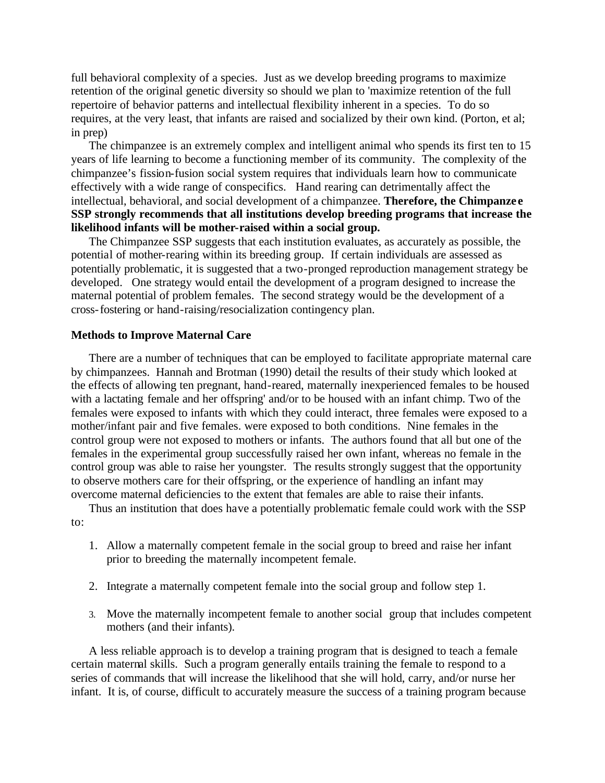full behavioral complexity of a species. Just as we develop breeding programs to maximize retention of the original genetic diversity so should we plan to 'maximize retention of the full repertoire of behavior patterns and intellectual flexibility inherent in a species. To do so requires, at the very least, that infants are raised and socialized by their own kind. (Porton, et al; in prep)

The chimpanzee is an extremely complex and intelligent animal who spends its first ten to 15 years of life learning to become a functioning member of its community. The complexity of the chimpanzee's fission-fusion social system requires that individuals learn how to communicate effectively with a wide range of conspecifics. Hand rearing can detrimentally affect the intellectual, behavioral, and social development of a chimpanzee. **Therefore, the Chimpanze e SSP strongly recommends that all institutions develop breeding programs that increase the likelihood infants will be mother-raised within a social group.**

The Chimpanzee SSP suggests that each institution evaluates, as accurately as possible, the potential of mother-rearing within its breeding group. If certain individuals are assessed as potentially problematic, it is suggested that a two-pronged reproduction management strategy be developed. One strategy would entail the development of a program designed to increase the maternal potential of problem females. The second strategy would be the development of a cross-fostering or hand-raising/resocialization contingency plan.

#### **Methods to Improve Maternal Care**

There are a number of techniques that can be employed to facilitate appropriate maternal care by chimpanzees. Hannah and Brotman (1990) detail the results of their study which looked at the effects of allowing ten pregnant, hand-reared, maternally inexperienced females to be housed with a lactating female and her offspring' and/or to be housed with an infant chimp. Two of the females were exposed to infants with which they could interact, three females were exposed to a mother/infant pair and five females. were exposed to both conditions. Nine females in the control group were not exposed to mothers or infants. The authors found that all but one of the females in the experimental group successfully raised her own infant, whereas no female in the control group was able to raise her youngster. The results strongly suggest that the opportunity to observe mothers care for their offspring, or the experience of handling an infant may overcome maternal deficiencies to the extent that females are able to raise their infants.

Thus an institution that does have a potentially problematic female could work with the SSP to:

- 1. Allow a maternally competent female in the social group to breed and raise her infant prior to breeding the maternally incompetent female.
- 2. Integrate a maternally competent female into the social group and follow step 1.
- 3. Move the maternally incompetent female to another social group that includes competent mothers (and their infants).

A less reliable approach is to develop a training program that is designed to teach a female certain maternal skills. Such a program generally entails training the female to respond to a series of commands that will increase the likelihood that she will hold, carry, and/or nurse her infant. It is, of course, difficult to accurately measure the success of a training program because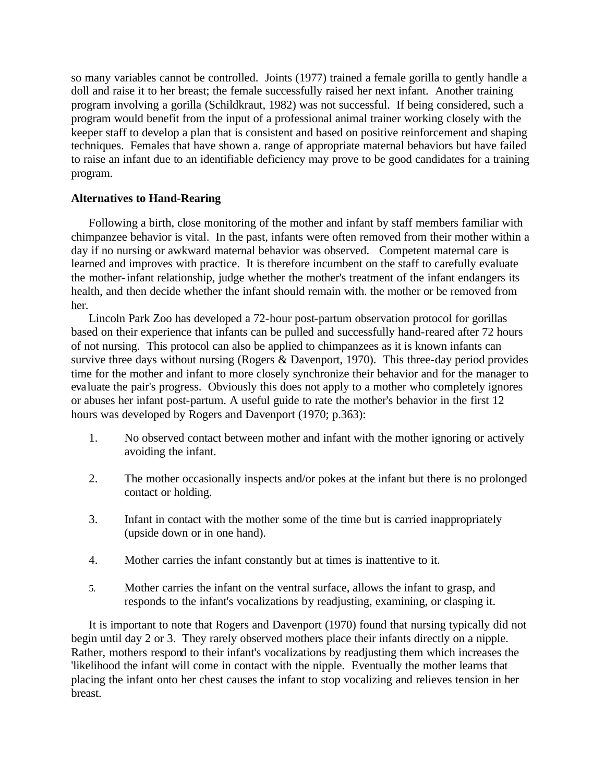so many variables cannot be controlled. Joints (1977) trained a female gorilla to gently handle a doll and raise it to her breast; the female successfully raised her next infant. Another training program involving a gorilla (Schildkraut, 1982) was not successful. If being considered, such a program would benefit from the input of a professional animal trainer working closely with the keeper staff to develop a plan that is consistent and based on positive reinforcement and shaping techniques. Females that have shown a. range of appropriate maternal behaviors but have failed to raise an infant due to an identifiable deficiency may prove to be good candidates for a training program.

### **Alternatives to Hand-Rearing**

Following a birth, close monitoring of the mother and infant by staff members familiar with chimpanzee behavior is vital. In the past, infants were often removed from their mother within a day if no nursing or awkward maternal behavior was observed. Competent maternal care is learned and improves with practice. It is therefore incumbent on the staff to carefully evaluate the mother-infant relationship, judge whether the mother's treatment of the infant endangers its health, and then decide whether the infant should remain with. the mother or be removed from her.

Lincoln Park Zoo has developed a 72-hour post-partum observation protocol for gorillas based on their experience that infants can be pulled and successfully hand-reared after 72 hours of not nursing. This protocol can also be applied to chimpanzees as it is known infants can survive three days without nursing (Rogers & Davenport, 1970). This three-day period provides time for the mother and infant to more closely synchronize their behavior and for the manager to evaluate the pair's progress. Obviously this does not apply to a mother who completely ignores or abuses her infant post-partum. A useful guide to rate the mother's behavior in the first 12 hours was developed by Rogers and Davenport (1970; p.363):

- 1. No observed contact between mother and infant with the mother ignoring or actively avoiding the infant.
- 2. The mother occasionally inspects and/or pokes at the infant but there is no prolonged contact or holding.
- 3. Infant in contact with the mother some of the time but is carried inappropriately (upside down or in one hand).
- 4. Mother carries the infant constantly but at times is inattentive to it.
- 5. Mother carries the infant on the ventral surface, allows the infant to grasp, and responds to the infant's vocalizations by readjusting, examining, or clasping it.

It is important to note that Rogers and Davenport (1970) found that nursing typically did not begin until day 2 or 3. They rarely observed mothers place their infants directly on a nipple. Rather, mothers respond to their infant's vocalizations by readjusting them which increases the 'likelihood the infant will come in contact with the nipple. Eventually the mother learns that placing the infant onto her chest causes the infant to stop vocalizing and relieves tension in her breast.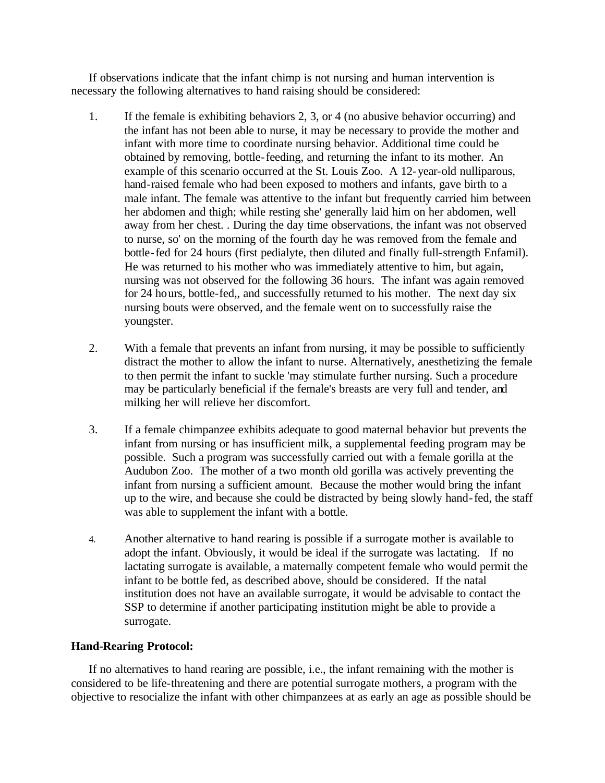If observations indicate that the infant chimp is not nursing and human intervention is necessary the following alternatives to hand raising should be considered:

- 1. If the female is exhibiting behaviors 2, 3, or 4 (no abusive behavior occurring) and the infant has not been able to nurse, it may be necessary to provide the mother and infant with more time to coordinate nursing behavior. Additional time could be obtained by removing, bottle-feeding, and returning the infant to its mother. An example of this scenario occurred at the St. Louis Zoo. A 12-year-old nulliparous, hand-raised female who had been exposed to mothers and infants, gave birth to a male infant. The female was attentive to the infant but frequently carried him between her abdomen and thigh; while resting she' generally laid him on her abdomen, well away from her chest. . During the day time observations, the infant was not observed to nurse, so' on the morning of the fourth day he was removed from the female and bottle-fed for 24 hours (first pedialyte, then diluted and finally full-strength Enfamil). He was returned to his mother who was immediately attentive to him, but again, nursing was not observed for the following 36 hours. The infant was again removed for 24 hours, bottle-fed,, and successfully returned to his mother. The next day six nursing bouts were observed, and the female went on to successfully raise the youngster.
- 2. With a female that prevents an infant from nursing, it may be possible to sufficiently distract the mother to allow the infant to nurse. Alternatively, anesthetizing the female to then permit the infant to suckle 'may stimulate further nursing. Such a procedure may be particularly beneficial if the female's breasts are very full and tender, and milking her will relieve her discomfort.
- 3. If a female chimpanzee exhibits adequate to good maternal behavior but prevents the infant from nursing or has insufficient milk, a supplemental feeding program may be possible. Such a program was successfully carried out with a female gorilla at the Audubon Zoo. The mother of a two month old gorilla was actively preventing the infant from nursing a sufficient amount. Because the mother would bring the infant up to the wire, and because she could be distracted by being slowly hand-fed, the staff was able to supplement the infant with a bottle.
- 4. Another alternative to hand rearing is possible if a surrogate mother is available to adopt the infant. Obviously, it would be ideal if the surrogate was lactating. If no lactating surrogate is available, a maternally competent female who would permit the infant to be bottle fed, as described above, should be considered. If the natal institution does not have an available surrogate, it would be advisable to contact the SSP to determine if another participating institution might be able to provide a surrogate.

### **Hand-Rearing Protocol:**

If no alternatives to hand rearing are possible, i.e., the infant remaining with the mother is considered to be life-threatening and there are potential surrogate mothers, a program with the objective to resocialize the infant with other chimpanzees at as early an age as possible should be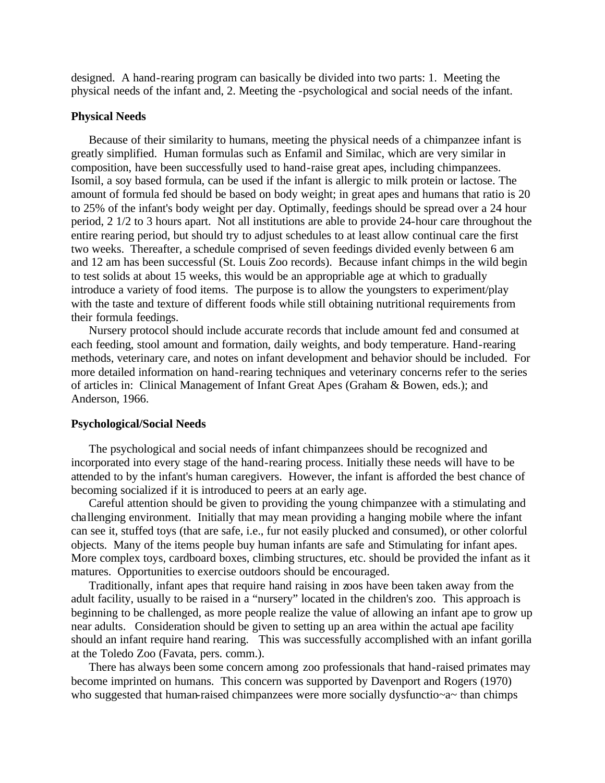designed. A hand-rearing program can basically be divided into two parts: 1. Meeting the physical needs of the infant and, 2. Meeting the -psychological and social needs of the infant.

#### **Physical Needs**

Because of their similarity to humans, meeting the physical needs of a chimpanzee infant is greatly simplified. Human formulas such as Enfamil and Similac, which are very similar in composition, have been successfully used to hand-raise great apes, including chimpanzees. Isomil, a soy based formula, can be used if the infant is allergic to milk protein or lactose. The amount of formula fed should be based on body weight; in great apes and humans that ratio is 20 to 25% of the infant's body weight per day. Optimally, feedings should be spread over a 24 hour period, 2 1/2 to 3 hours apart. Not all institutions are able to provide 24-hour care throughout the entire rearing period, but should try to adjust schedules to at least allow continual care the first two weeks. Thereafter, a schedule comprised of seven feedings divided evenly between 6 am and 12 am has been successful (St. Louis Zoo records). Because infant chimps in the wild begin to test solids at about 15 weeks, this would be an appropriable age at which to gradually introduce a variety of food items. The purpose is to allow the youngsters to experiment/play with the taste and texture of different foods while still obtaining nutritional requirements from their formula feedings.

Nursery protocol should include accurate records that include amount fed and consumed at each feeding, stool amount and formation, daily weights, and body temperature. Hand-rearing methods, veterinary care, and notes on infant development and behavior should be included. For more detailed information on hand-rearing techniques and veterinary concerns refer to the series of articles in: Clinical Management of Infant Great Apes (Graham & Bowen, eds.); and Anderson, 1966.

#### **Psychological/Social Needs**

The psychological and social needs of infant chimpanzees should be recognized and incorporated into every stage of the hand-rearing process. Initially these needs will have to be attended to by the infant's human caregivers. However, the infant is afforded the best chance of becoming socialized if it is introduced to peers at an early age.

Careful attention should be given to providing the young chimpanzee with a stimulating and challenging environment. Initially that may mean providing a hanging mobile where the infant can see it, stuffed toys (that are safe, i.e., fur not easily plucked and consumed), or other colorful objects. Many of the items people buy human infants are safe and Stimulating for infant apes. More complex toys, cardboard boxes, climbing structures, etc. should be provided the infant as it matures. Opportunities to exercise outdoors should be encouraged.

Traditionally, infant apes that require hand raising in zoos have been taken away from the adult facility, usually to be raised in a "nursery" located in the children's zoo. This approach is beginning to be challenged, as more people realize the value of allowing an infant ape to grow up near adults. Consideration should be given to setting up an area within the actual ape facility should an infant require hand rearing. This was successfully accomplished with an infant gorilla at the Toledo Zoo (Favata, pers. comm.).

There has always been some concern among zoo professionals that hand-raised primates may become imprinted on humans. This concern was supported by Davenport and Rogers (1970) who suggested that human-raised chimpanzees were more socially dysfunctio~a~ than chimps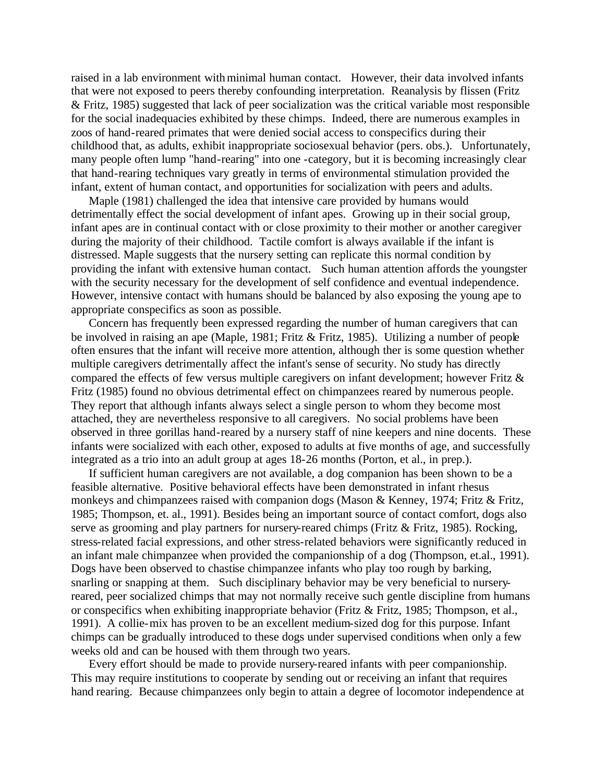raised in a lab environment with minimal human contact. However, their data involved infants that were not exposed to peers thereby confounding interpretation. Reanalysis by flissen (Fritz & Fritz, 1985) suggested that lack of peer socialization was the critical variable most responsible for the social inadequacies exhibited by these chimps. Indeed, there are numerous examples in zoos of hand-reared primates that were denied social access to conspecifics during their childhood that, as adults, exhibit inappropriate sociosexual behavior (pers. obs.). Unfortunately, many people often lump "hand-rearing" into one -category, but it is becoming increasingly clear that hand-rearing techniques vary greatly in terms of environmental stimulation provided the infant, extent of human contact, and opportunities for socialization with peers and adults.

Maple (1981) challenged the idea that intensive care provided by humans would detrimentally effect the social development of infant apes. Growing up in their social group, infant apes are in continual contact with or close proximity to their mother or another caregiver during the majority of their childhood. Tactile comfort is always available if the infant is distressed. Maple suggests that the nursery setting can replicate this normal condition by providing the infant with extensive human contact. Such human attention affords the youngster with the security necessary for the development of self confidence and eventual independence. However, intensive contact with humans should be balanced by also exposing the young ape to appropriate conspecifics as soon as possible.

Concern has frequently been expressed regarding the number of human caregivers that can be involved in raising an ape (Maple, 1981; Fritz & Fritz, 1985). Utilizing a number of people often ensures that the infant will receive more attention, although ther is some question whether multiple caregivers detrimentally affect the infant's sense of security. No study has directly compared the effects of few versus multiple caregivers on infant development; however Fritz & Fritz (1985) found no obvious detrimental effect on chimpanzees reared by numerous people. They report that although infants always select a single person to whom they become most attached, they are nevertheless responsive to all caregivers. No social problems have been observed in three gorillas hand-reared by a nursery staff of nine keepers and nine docents. These infants were socialized with each other, exposed to adults at five months of age, and successfully integrated as a trio into an adult group at ages 18-26 months (Porton, et al., in prep.).

If sufficient human caregivers are not available, a dog companion has been shown to be a feasible alternative. Positive behavioral effects have been demonstrated in infant rhesus monkeys and chimpanzees raised with companion dogs (Mason & Kenney, 1974; Fritz & Fritz, 1985; Thompson, et. al., 1991). Besides being an important source of contact comfort, dogs also serve as grooming and play partners for nursery-reared chimps (Fritz & Fritz, 1985). Rocking, stress-related facial expressions, and other stress-related behaviors were significantly reduced in an infant male chimpanzee when provided the companionship of a dog (Thompson, et.al., 1991). Dogs have been observed to chastise chimpanzee infants who play too rough by barking, snarling or snapping at them. Such disciplinary behavior may be very beneficial to nurseryreared, peer socialized chimps that may not normally receive such gentle discipline from humans or conspecifics when exhibiting inappropriate behavior (Fritz & Fritz, 1985; Thompson, et al., 1991). A collie-mix has proven to be an excellent medium-sized dog for this purpose. Infant chimps can be gradually introduced to these dogs under supervised conditions when only a few weeks old and can be housed with them through two years.

Every effort should be made to provide nursery-reared infants with peer companionship. This may require institutions to cooperate by sending out or receiving an infant that requires hand rearing. Because chimpanzees only begin to attain a degree of locomotor independence at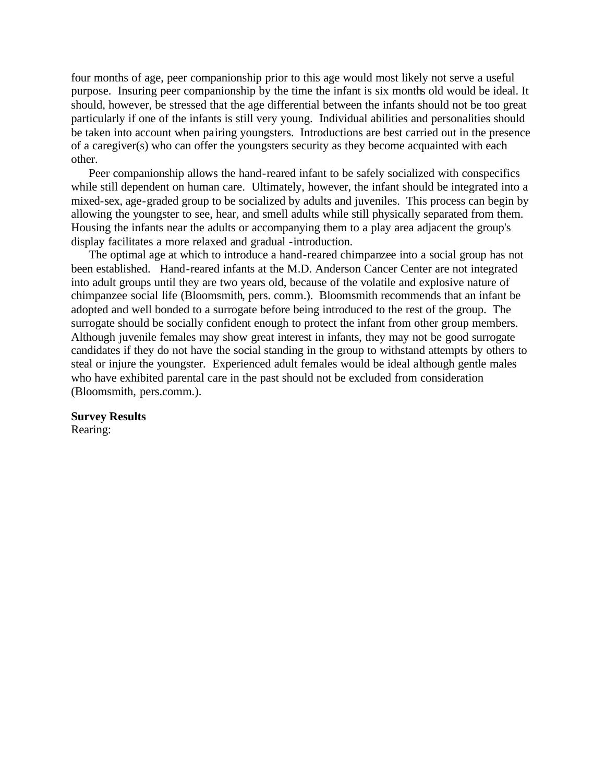four months of age, peer companionship prior to this age would most likely not serve a useful purpose. Insuring peer companionship by the time the infant is six months old would be ideal. It should, however, be stressed that the age differential between the infants should not be too great particularly if one of the infants is still very young. Individual abilities and personalities should be taken into account when pairing youngsters. Introductions are best carried out in the presence of a caregiver(s) who can offer the youngsters security as they become acquainted with each other.

Peer companionship allows the hand-reared infant to be safely socialized with conspecifics while still dependent on human care. Ultimately, however, the infant should be integrated into a mixed-sex, age-graded group to be socialized by adults and juveniles. This process can begin by allowing the youngster to see, hear, and smell adults while still physically separated from them. Housing the infants near the adults or accompanying them to a play area adjacent the group's display facilitates a more relaxed and gradual -introduction.

The optimal age at which to introduce a hand-reared chimpanzee into a social group has not been established. Hand-reared infants at the M.D. Anderson Cancer Center are not integrated into adult groups until they are two years old, because of the volatile and explosive nature of chimpanzee social life (Bloomsmith, pers. comm.). Bloomsmith recommends that an infant be adopted and well bonded to a surrogate before being introduced to the rest of the group. The surrogate should be socially confident enough to protect the infant from other group members. Although juvenile females may show great interest in infants, they may not be good surrogate candidates if they do not have the social standing in the group to withstand attempts by others to steal or injure the youngster. Experienced adult females would be ideal although gentle males who have exhibited parental care in the past should not be excluded from consideration (Bloomsmith, pers.comm.).

## **Survey Results**

Rearing: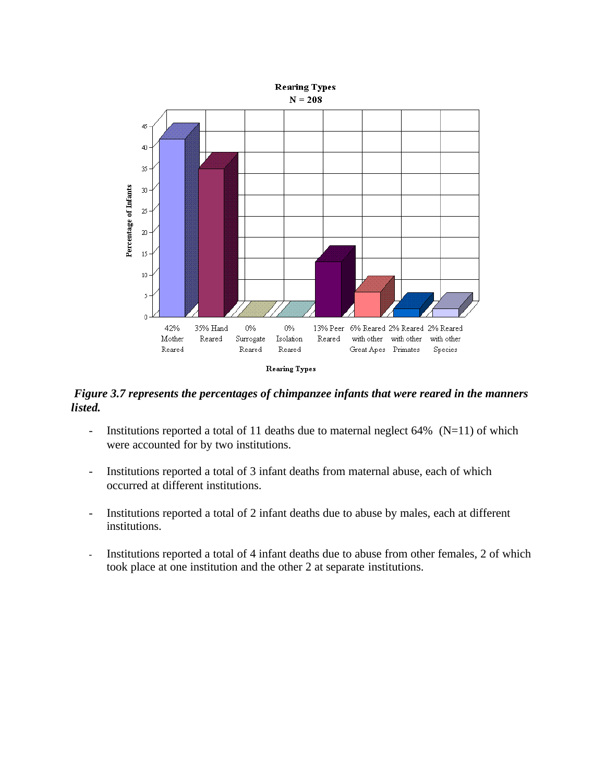

*Figure 3.7 represents the percentages of chimpanzee infants that were reared in the manners listed.*

- Institutions reported a total of 11 deaths due to maternal neglect  $64\%$  (N=11) of which were accounted for by two institutions.
- Institutions reported a total of 3 infant deaths from maternal abuse, each of which occurred at different institutions.
- Institutions reported a total of 2 infant deaths due to abuse by males, each at different institutions.
- Institutions reported a total of 4 infant deaths due to abuse from other females, 2 of which took place at one institution and the other 2 at separate institutions.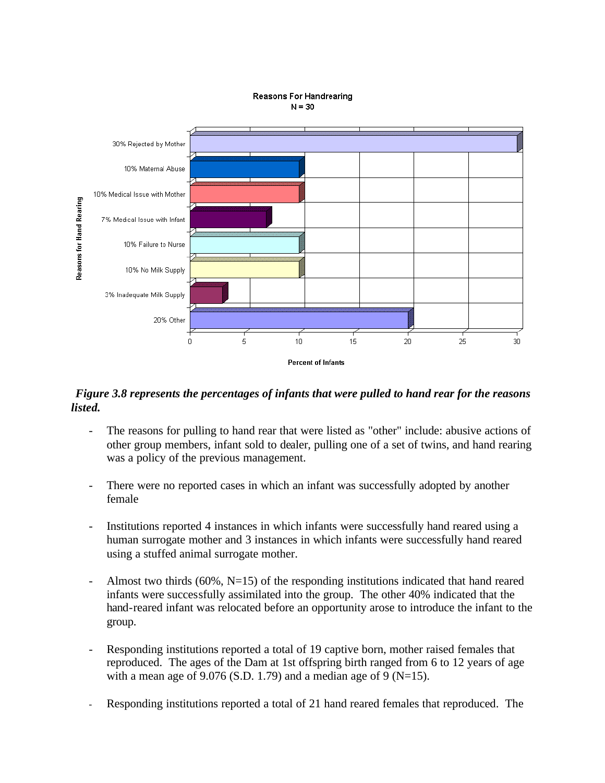

#### **Reasons For Handrearing**  $N = 30$

## *Figure 3.8 represents the percentages of infants that were pulled to hand rear for the reasons listed.*

- The reasons for pulling to hand rear that were listed as "other" include: abusive actions of other group members, infant sold to dealer, pulling one of a set of twins, and hand rearing was a policy of the previous management.
- There were no reported cases in which an infant was successfully adopted by another female
- Institutions reported 4 instances in which infants were successfully hand reared using a human surrogate mother and 3 instances in which infants were successfully hand reared using a stuffed animal surrogate mother.
- Almost two thirds  $(60\%, N=15)$  of the responding institutions indicated that hand reared infants were successfully assimilated into the group. The other 40% indicated that the hand-reared infant was relocated before an opportunity arose to introduce the infant to the group.
- Responding institutions reported a total of 19 captive born, mother raised females that reproduced. The ages of the Dam at 1st offspring birth ranged from 6 to 12 years of age with a mean age of 9.076 (S.D. 1.79) and a median age of 9 (N=15).
- Responding institutions reported a total of 21 hand reared females that reproduced. The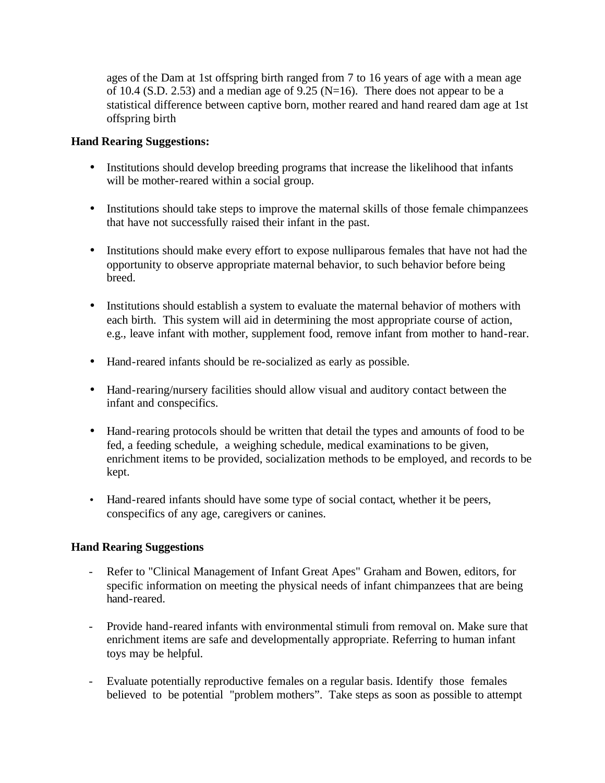ages of the Dam at 1st offspring birth ranged from 7 to 16 years of age with a mean age of 10.4 (S.D. 2.53) and a median age of 9.25 (N=16). There does not appear to be a statistical difference between captive born, mother reared and hand reared dam age at 1st offspring birth

### **Hand Rearing Suggestions:**

- Institutions should develop breeding programs that increase the likelihood that infants will be mother-reared within a social group.
- Institutions should take steps to improve the maternal skills of those female chimpanzees that have not successfully raised their infant in the past.
- Institutions should make every effort to expose nulliparous females that have not had the opportunity to observe appropriate maternal behavior, to such behavior before being breed.
- Institutions should establish a system to evaluate the maternal behavior of mothers with each birth. This system will aid in determining the most appropriate course of action, e.g., leave infant with mother, supplement food, remove infant from mother to hand-rear.
- Hand-reared infants should be re-socialized as early as possible.
- Hand-rearing/nursery facilities should allow visual and auditory contact between the infant and conspecifics.
- Hand-rearing protocols should be written that detail the types and amounts of food to be fed, a feeding schedule, a weighing schedule, medical examinations to be given, enrichment items to be provided, socialization methods to be employed, and records to be kept.
- Hand-reared infants should have some type of social contact, whether it be peers, conspecifics of any age, caregivers or canines.

## **Hand Rearing Suggestions**

- Refer to "Clinical Management of Infant Great Apes" Graham and Bowen, editors, for specific information on meeting the physical needs of infant chimpanzees that are being hand-reared.
- Provide hand-reared infants with environmental stimuli from removal on. Make sure that enrichment items are safe and developmentally appropriate. Referring to human infant toys may be helpful.
- Evaluate potentially reproductive females on a regular basis. Identify those females believed to be potential "problem mothers". Take steps as soon as possible to attempt